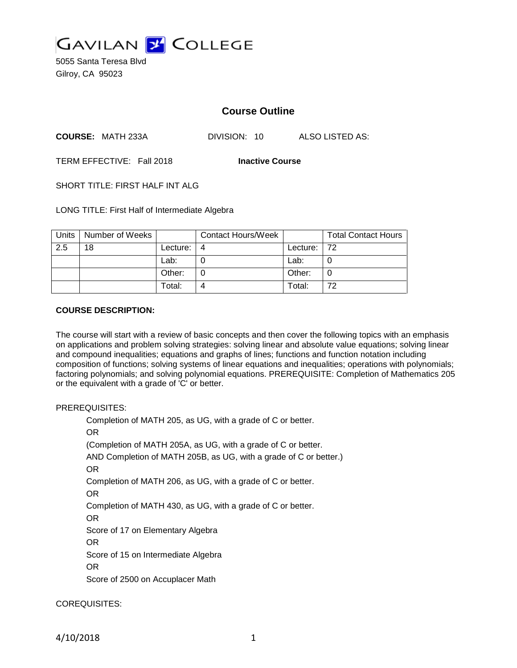

5055 Santa Teresa Blvd Gilroy, CA 95023

# **Course Outline**

**COURSE:** MATH 233A DIVISION: 10 ALSO LISTED AS:

TERM EFFECTIVE: Fall 2018 **Inactive Course**

SHORT TITLE: FIRST HALF INT ALG

LONG TITLE: First Half of Intermediate Algebra

| Units | Number of Weeks |          | <b>Contact Hours/Week</b> |             | <b>Total Contact Hours</b> |
|-------|-----------------|----------|---------------------------|-------------|----------------------------|
| 2.5   | 18              | Lecture: |                           | Lecture: 72 |                            |
|       |                 | Lab:     |                           | Lab:        |                            |
|       |                 | Other:   |                           | Other:      |                            |
|       |                 | Total:   |                           | Total:      | 72                         |

#### **COURSE DESCRIPTION:**

The course will start with a review of basic concepts and then cover the following topics with an emphasis on applications and problem solving strategies: solving linear and absolute value equations; solving linear and compound inequalities; equations and graphs of lines; functions and function notation including composition of functions; solving systems of linear equations and inequalities; operations with polynomials; factoring polynomials; and solving polynomial equations. PREREQUISITE: Completion of Mathematics 205 or the equivalent with a grade of 'C' or better.

#### PREREQUISITES:

Completion of MATH 205, as UG, with a grade of C or better. OR (Completion of MATH 205A, as UG, with a grade of C or better. AND Completion of MATH 205B, as UG, with a grade of C or better.) OR Completion of MATH 206, as UG, with a grade of C or better. OR Completion of MATH 430, as UG, with a grade of C or better. OR Score of 17 on Elementary Algebra OR Score of 15 on Intermediate Algebra OR Score of 2500 on Accuplacer Math

### COREQUISITES: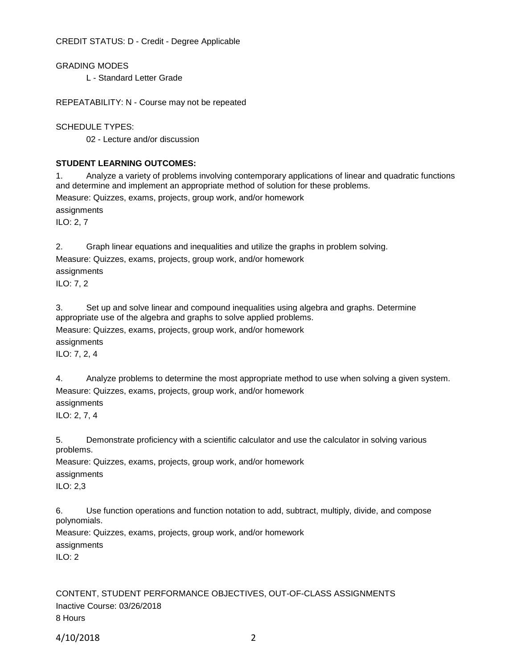CREDIT STATUS: D - Credit - Degree Applicable

GRADING MODES

L - Standard Letter Grade

REPEATABILITY: N - Course may not be repeated

SCHEDULE TYPES:

02 - Lecture and/or discussion

# **STUDENT LEARNING OUTCOMES:**

1. Analyze a variety of problems involving contemporary applications of linear and quadratic functions and determine and implement an appropriate method of solution for these problems.

Measure: Quizzes, exams, projects, group work, and/or homework

assignments

ILO: 2, 7

2. Graph linear equations and inequalities and utilize the graphs in problem solving.

Measure: Quizzes, exams, projects, group work, and/or homework

assignments

ILO: 7, 2

3. Set up and solve linear and compound inequalities using algebra and graphs. Determine appropriate use of the algebra and graphs to solve applied problems. Measure: Quizzes, exams, projects, group work, and/or homework assignments

ILO: 7, 2, 4

4. Analyze problems to determine the most appropriate method to use when solving a given system. Measure: Quizzes, exams, projects, group work, and/or homework

assignments

ILO: 2, 7, 4

5. Demonstrate proficiency with a scientific calculator and use the calculator in solving various problems.

Measure: Quizzes, exams, projects, group work, and/or homework assignments ILO: 2,3

6. Use function operations and function notation to add, subtract, multiply, divide, and compose polynomials.

Measure: Quizzes, exams, projects, group work, and/or homework assignments ILO: 2

CONTENT, STUDENT PERFORMANCE OBJECTIVES, OUT-OF-CLASS ASSIGNMENTS Inactive Course: 03/26/2018 8 Hours

4/10/2018 2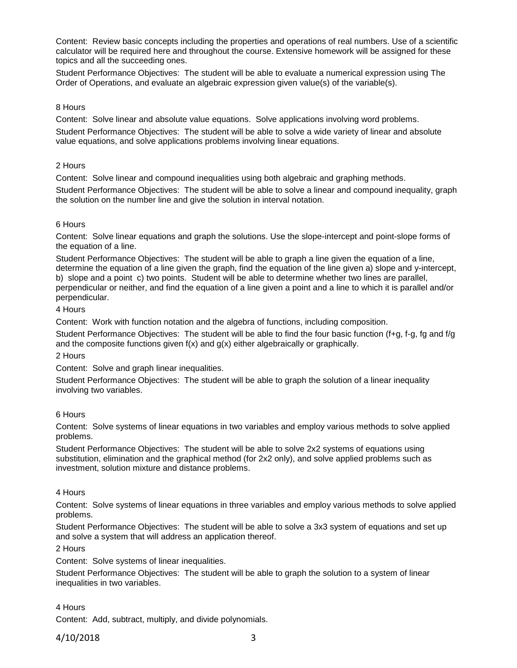Content: Review basic concepts including the properties and operations of real numbers. Use of a scientific calculator will be required here and throughout the course. Extensive homework will be assigned for these topics and all the succeeding ones.

Student Performance Objectives: The student will be able to evaluate a numerical expression using The Order of Operations, and evaluate an algebraic expression given value(s) of the variable(s).

### 8 Hours

Content: Solve linear and absolute value equations. Solve applications involving word problems.

Student Performance Objectives: The student will be able to solve a wide variety of linear and absolute value equations, and solve applications problems involving linear equations.

# 2 Hours

Content: Solve linear and compound inequalities using both algebraic and graphing methods.

Student Performance Objectives: The student will be able to solve a linear and compound inequality, graph the solution on the number line and give the solution in interval notation.

# 6 Hours

Content: Solve linear equations and graph the solutions. Use the slope-intercept and point-slope forms of the equation of a line.

Student Performance Objectives: The student will be able to graph a line given the equation of a line, determine the equation of a line given the graph, find the equation of the line given a) slope and y-intercept, b) slope and a point c) two points. Student will be able to determine whether two lines are parallel, perpendicular or neither, and find the equation of a line given a point and a line to which it is parallel and/or perpendicular.

### 4 Hours

Content: Work with function notation and the algebra of functions, including composition.

Student Performance Objectives: The student will be able to find the four basic function (f+g, f-g, fg and f/g and the composite functions given  $f(x)$  and  $g(x)$  either algebraically or graphically.

### 2 Hours

Content: Solve and graph linear inequalities.

Student Performance Objectives: The student will be able to graph the solution of a linear inequality involving two variables.

# 6 Hours

Content: Solve systems of linear equations in two variables and employ various methods to solve applied problems.

Student Performance Objectives: The student will be able to solve 2x2 systems of equations using substitution, elimination and the graphical method (for 2x2 only), and solve applied problems such as investment, solution mixture and distance problems.

### 4 Hours

Content: Solve systems of linear equations in three variables and employ various methods to solve applied problems.

Student Performance Objectives: The student will be able to solve a 3x3 system of equations and set up and solve a system that will address an application thereof.

2 Hours

Content: Solve systems of linear inequalities.

Student Performance Objectives: The student will be able to graph the solution to a system of linear inequalities in two variables.

### 4 Hours

Content: Add, subtract, multiply, and divide polynomials.

# 4/10/2018 3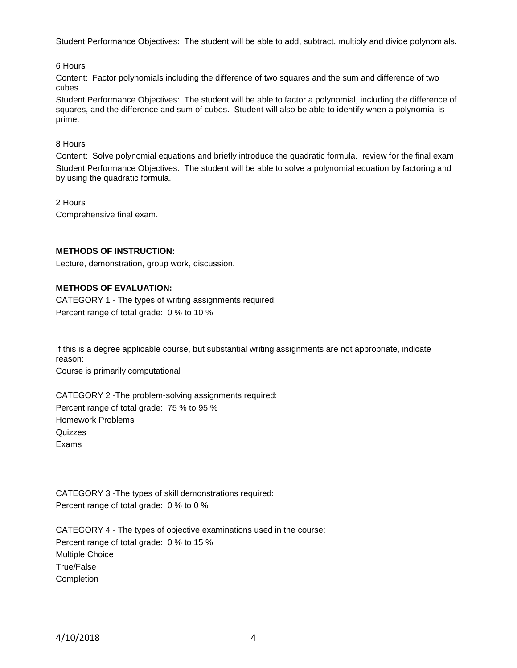Student Performance Objectives: The student will be able to add, subtract, multiply and divide polynomials.

6 Hours

Content: Factor polynomials including the difference of two squares and the sum and difference of two cubes.

Student Performance Objectives: The student will be able to factor a polynomial, including the difference of squares, and the difference and sum of cubes. Student will also be able to identify when a polynomial is prime.

8 Hours

Content: Solve polynomial equations and briefly introduce the quadratic formula. review for the final exam. Student Performance Objectives: The student will be able to solve a polynomial equation by factoring and by using the quadratic formula.

2 Hours

Comprehensive final exam.

### **METHODS OF INSTRUCTION:**

Lecture, demonstration, group work, discussion.

# **METHODS OF EVALUATION:**

CATEGORY 1 - The types of writing assignments required: Percent range of total grade: 0 % to 10 %

If this is a degree applicable course, but substantial writing assignments are not appropriate, indicate reason:

Course is primarily computational

CATEGORY 2 -The problem-solving assignments required: Percent range of total grade: 75 % to 95 % Homework Problems Quizzes Exams

CATEGORY 3 -The types of skill demonstrations required: Percent range of total grade: 0 % to 0 %

CATEGORY 4 - The types of objective examinations used in the course: Percent range of total grade: 0 % to 15 % Multiple Choice True/False Completion